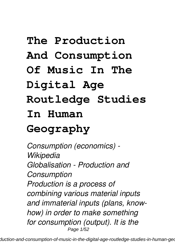# **The Production**

# **And Consumption**

## **Of Music In The**

# **Digital Age**

# **Routledge Studies**

#### **In Human**

# **Geography**

*Consumption (economics) - Wikipedia Globalisation - Production and Consumption Production is a process of combining various material inputs and immaterial inputs (plans, knowhow) in order to make something for consumption (output). It is the* Page 1/52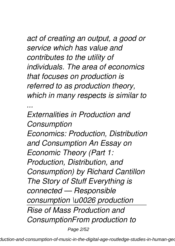#### *act of creating an output, a good or service which has value and contributes to the utility of individuals. The area of economics that focuses on production is referred to as production theory, which in many respects is similar to*

*...*

*Externalities in Production and Consumption Economics: Production, Distribution and Consumption An Essay on Economic Theory (Part 1: Production, Distribution, and Consumption) by Richard Cantillon The Story of Stuff Everything is connected — Responsible consumption \u0026 production Rise of Mass Production and ConsumptionFrom production to* Page 2/52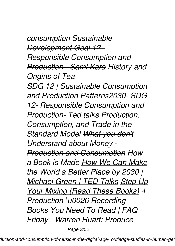*consumption Sustainable Development Goal 12 - Responsible Consumption and Production - Sami Kara History and Origins of Tea*

*SDG 12 | Sustainable Consumption and Production Patterns2030- SDG 12- Responsible Consumption and Production- Ted talks Production, Consumption, and Trade in the Standard Model What you don't Understand about Money - Production and Consumption How a Book is Made How We Can Make the World a Better Place by 2030 | Michael Green | TED Talks Step Up Your Mixing (Read These Books) 4 Production \u0026 Recording Books You Need To Read | FAQ Friday - Warren Huart: Produce*

Page 3/52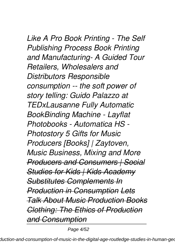*Like A Pro Book Printing - The Self Publishing Process Book Printing and Manufacturing- A Guided Tour Retailers, Wholesalers and Distributors Responsible consumption -- the soft power of story telling: Guido Palazzo at TEDxLausanne Fully Automatic BookBinding Machine - Layflat Photobooks - Automatica HS - Photostory 5 Gifts for Music Producers [Books] | Zaytoven, Music Business, Mixing and More Producers and Consumers | Social Studies for Kids | Kids Academy Substitutes Complements In Production in Consumption Lets Talk About Music Production Books Clothing: The Ethics of Production and Consumption*

Page 4/52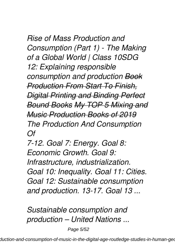*Rise of Mass Production and Consumption (Part 1) - The Making of a Global World | Class 10SDG 12: Explaining responsible consumption and production Book Production From Start To Finish, Digital Printing and Binding Perfect Bound Books My TOP 5 Mixing and Music Production Books of 2019 The Production And Consumption Of*

*7-12. Goal 7: Energy. Goal 8: Economic Growth. Goal 9: Infrastructure, industrialization. Goal 10: Inequality. Goal 11: Cities. Goal 12: Sustainable consumption and production. 13-17. Goal 13 ...*

*Sustainable consumption and production – United Nations ...*

Page 5/52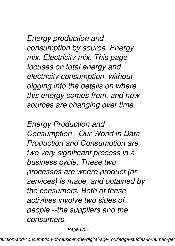*Energy production and consumption by source. Energy mix. Electricity mix. This page focuses on total energy and electricity consumption, without digging into the details on where this energy comes from, and how sources are changing over time.*

*Energy Production and Consumption - Our World in Data Production and Consumption are two very significant process in a business cycle. These two processes are where product (or services) is made, and obtained by the consumers. Both of these activities involve two sides of people --the suppliers and the consumers.*

Page 6/52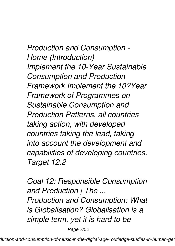*Production and Consumption - Home (Introduction) Implement the 10-Year Sustainable Consumption and Production Framework Implement the 10?Year Framework of Programmes on Sustainable Consumption and Production Patterns, all countries taking action, with developed countries taking the lead, taking into account the development and capabilities of developing countries. Target 12.2*

*Goal 12: Responsible Consumption and Production | The ... Production and Consumption: What is Globalisation? Globalisation is a simple term, yet it is hard to be*

Page 7/52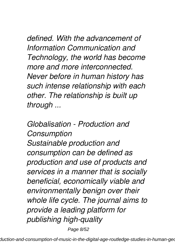*defined. With the advancement of Information Communication and Technology, the world has become more and more interconnected. Never before in human history has such intense relationship with each other. The relationship is built up through ...*

*Globalisation - Production and Consumption Sustainable production and consumption can be defined as production and use of products and services in a manner that is socially beneficial, economically viable and environmentally benign over their whole life cycle. The journal aims to provide a leading platform for publishing high-quality*

Page 8/52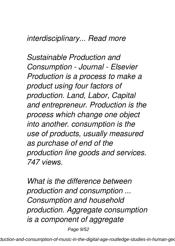#### *interdisciplinary... Read more*

*Sustainable Production and Consumption - Journal - Elsevier Production is a process to make a product using four factors of production. Land, Labor, Capital and entrepreneur. Production is the process which change one object into another. consumption is the use of products, usually measured as purchase of end of the production line goods and services. 747 views.*

*What is the difference between production and consumption ... Consumption and household production. Aggregate consumption is a component of aggregate*

Page 9/52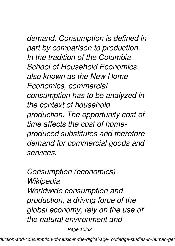# *demand. Consumption is defined in*

*part by comparison to production. In the tradition of the Columbia School of Household Economics, also known as the New Home Economics, commercial consumption has to be analyzed in the context of household production. The opportunity cost of time affects the cost of homeproduced substitutes and therefore demand for commercial goods and services.*

*Consumption (economics) - Wikipedia Worldwide consumption and production, a driving force of the global economy, rely on the use of the natural environment and*

Page 10/52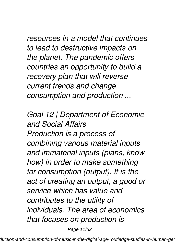*resources in a model that continues to lead to destructive impacts on the planet. The pandemic offers countries an opportunity to build a recovery plan that will reverse current trends and change consumption and production ...*

*Goal 12 | Department of Economic and Social Affairs Production is a process of combining various material inputs and immaterial inputs (plans, knowhow) in order to make something for consumption (output). It is the act of creating an output, a good or service which has value and contributes to the utility of individuals. The area of economics that focuses on production is*

Page 11/52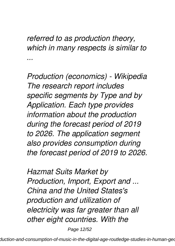#### *referred to as production theory, which in many respects is similar to ...*

*Production (economics) - Wikipedia The research report includes specific segments by Type and by Application. Each type provides information about the production during the forecast period of 2019 to 2026. The application segment also provides consumption during the forecast period of 2019 to 2026.*

*Hazmat Suits Market by Production, Import, Export and ... China and the United States's production and utilization of electricity was far greater than all other eight countries. With the*

Page 12/52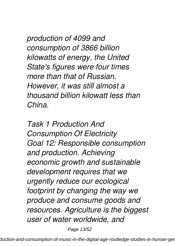*production of 4099 and consumption of 3866 billion kilowatts of energy, the United State's figures were four times more than that of Russian. However, it was still almost a thousand billion kilowatt less than China.*

*Task 1 Production And Consumption Of Electricity Goal 12: Responsible consumption and production. Achieving economic growth and sustainable development requires that we urgently reduce our ecological footprint by changing the way we produce and consume goods and resources. Agriculture is the biggest user of water worldwide, and*

Page 13/52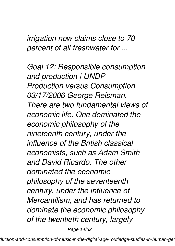*irrigation now claims close to 70 percent of all freshwater for ...*

*Goal 12: Responsible consumption and production | UNDP Production versus Consumption. 03/17/2006 George Reisman. There are two fundamental views of economic life. One dominated the economic philosophy of the nineteenth century, under the influence of the British classical economists, such as Adam Smith and David Ricardo. The other dominated the economic philosophy of the seventeenth century, under the influence of Mercantilism, and has returned to dominate the economic philosophy of the twentieth century, largely*

Page 14/52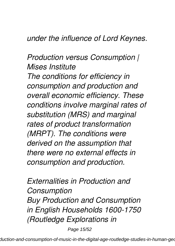#### *under the influence of Lord Keynes.*

#### *Production versus Consumption | Mises Institute*

*The conditions for efficiency in consumption and production and overall economic efficiency. These conditions involve marginal rates of substitution (MRS) and marginal rates of product transformation (MRPT). The conditions were derived on the assumption that there were no external effects in consumption and production.*

*Externalities in Production and Consumption Buy Production and Consumption in English Households 1600-1750 (Routledge Explorations in*

Page 15/52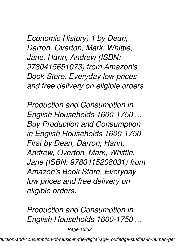*Economic History) 1 by Dean, Darron, Overton, Mark, Whittle, Jane, Hann, Andrew (ISBN: 9780415651073) from Amazon's Book Store. Everyday low prices and free delivery on eligible orders.*

*Production and Consumption in English Households 1600-1750 ... Buy Production and Consumption in English Households 1600-1750 First by Dean, Darron, Hann, Andrew, Overton, Mark, Whittle, Jane (ISBN: 9780415208031) from Amazon's Book Store. Everyday low prices and free delivery on eligible orders.*

*Production and Consumption in English Households 1600-1750 ...*

Page 16/52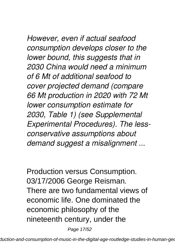*However, even if actual seafood consumption develops closer to the lower bound, this suggests that in 2030 China would need a minimum of 6 Mt of additional seafood to cover projected demand (compare 66 Mt production in 2020 with 72 Mt lower consumption estimate for 2030, Table 1) (see Supplemental Experimental Procedures). The lessconservative assumptions about demand suggest a misalignment ...*

Production versus Consumption. 03/17/2006 George Reisman. There are two fundamental views of economic life. One dominated the economic philosophy of the nineteenth century, under the

Page 17/52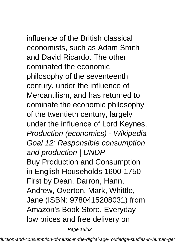influence of the British classical economists, such as Adam Smith and David Ricardo. The other dominated the economic philosophy of the seventeenth century, under the influence of Mercantilism, and has returned to dominate the economic philosophy of the twentieth century, largely under the influence of Lord Keynes. Production (economics) - Wikipedia Goal 12: Responsible consumption and production | UNDP Buy Production and Consumption in English Households 1600-1750 First by Dean, Darron, Hann, Andrew, Overton, Mark, Whittle, Jane (ISBN: 9780415208031) from Amazon's Book Store. Everyday low prices and free delivery on

Page 18/52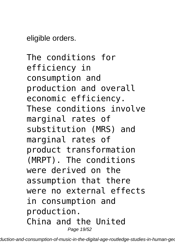eligible orders.

The conditions for efficiency in consumption and production and overall economic efficiency. These conditions involve marginal rates of substitution (MRS) and marginal rates of product transformation (MRPT). The conditions were derived on the assumption that there were no external effects in consumption and production. China and the United Page 19/52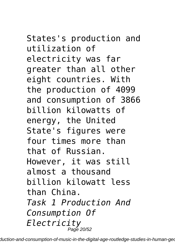States's production and utilization of electricity was far greater than all other eight countries. With the production of 4099 and consumption of 3866 billion kilowatts of energy, the United State's figures were four times more than that of Russian. However, it was still almost a thousand billion kilowatt less than China. *Task 1 Production And Consumption Of Electricity* Page 20/52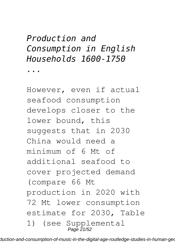#### *Production and Consumption in English Households 1600-1750*

*...*

However, even if actual seafood consumption develops closer to the lower bound, this suggests that in 2030 China would need a minimum of 6 Mt of additional seafood to cover projected demand (compare 66 Mt production in 2020 with 72 Mt lower consumption estimate for 2030, Table 1) (see Supplemental Page  $21/52$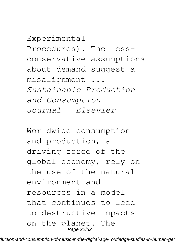#### Experimental Procedures). The lessconservative assumptions about demand suggest a misalignment ... *Sustainable Production and Consumption - Journal - Elsevier*

Worldwide consumption and production, a driving force of the global economy, rely on the use of the natural environment and resources in a model that continues to lead to destructive impacts on the planet. The Page 22/52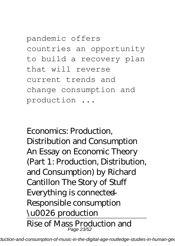pandemic offers countries an opportunity to build a recovery plan that will reverse current trends and change consumption and production ...

*Economics: Production, Distribution and Consumption An Essay on Economic Theory (Part 1: Production, Distribution, and Consumption) by Richard Cantillon The Story of Stuff Everything is connected — Responsible consumption \u0026 production* Rise of Mass Production and Page 23/52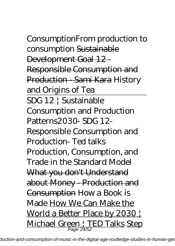Consumption*From production to consumption* Sustainable Development Goal 12 - Responsible Consumption and Production - Sami Kara *History and Origins of Tea* SDG 12 | Sustainable Consumption and Production Patterns*2030- SDG 12- Responsible Consumption and Production- Ted talks Production, Consumption, and Trade in the Standard Model* What you don't Understand about Money - Production and Consumption How a Book is Made How We Can Make the World a Better Place by 2030 Michael Green | TED Talks Step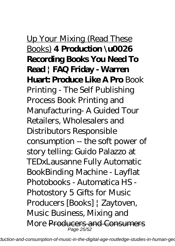## Up Your Mixing (Read These Books) **4 Production \u0026 Recording Books You Need To Read | FAQ Friday - Warren Huart: Produce Like A Pro** *Book Printing - The Self Publishing Process Book Printing and Manufacturing- A Guided Tour Retailers, Wholesalers and Distributors Responsible*

*consumption -- the soft power of story telling: Guido Palazzo at TEDxLausanne Fully Automatic BookBinding Machine - Layflat Photobooks - Automatica HS - Photostory 5 Gifts for Music Producers [Books] | Zaytoven, Music Business, Mixing and More* Producers and Consumers Page 25/52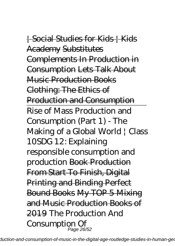| Social Studies for Kids | Kids Academy Substitutes Complements In Production in Consumption Lets Talk About Music Production Books Clothing: The Ethics of Production and Consumption Rise of Mass Production and Consumption (Part 1) - The Making of a Global World | Class 10*SDG 12: Explaining responsible consumption and production* Book Production From Start To Finish, Digital Printing and Binding Perfect Bound Books My TOP 5 Mixing and Music Production Books of 2019 *The Production And Consumption Of* Page 26/52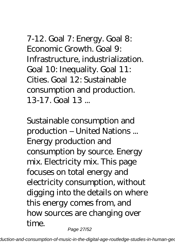7-12. Goal 7: Energy. Goal 8: Economic Growth. Goal 9: Infrastructure, industrialization. Goal 10: Inequality. Goal 11: Cities. Goal 12: Sustainable consumption and production. 13-17. Goal 13 ...

*Sustainable consumption and production – United Nations ...* Energy production and consumption by source. Energy mix. Electricity mix. This page focuses on total energy and electricity consumption, without digging into the details on where this energy comes from, and how sources are changing over time. Page 27/52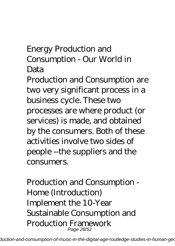#### *Energy Production and Consumption - Our World in Data*

Production and Consumption are two very significant process in a business cycle. These two processes are where product (or services) is made, and obtained by the consumers. Both of these activities involve two sides of people --the suppliers and the consumers.

*Production and Consumption - Home (Introduction)* Implement the 10-Year Sustainable Consumption and Production Framework Page 28/52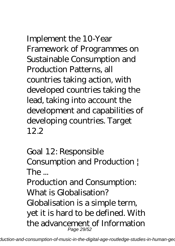Implement the 10‑Year Framework of Programmes on Sustainable Consumption and Production Patterns, all countries taking action, with developed countries taking the lead, taking into account the development and capabilities of developing countries. Target 12.2

*Goal 12: Responsible Consumption and Production |*  $The$ 

Production and Consumption: What is Globalisation? Globalisation is a simple term, yet it is hard to be defined. With the advancement of Information Page 29/52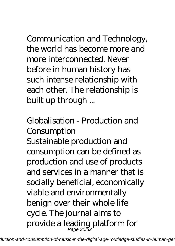Communication and Technology, the world has become more and more interconnected. Never before in human history has such intense relationship with each other. The relationship is built up through ...

### *Globalisation - Production and Consumption*

Sustainable production and consumption can be defined as production and use of products and services in a manner that is socially beneficial, economically viable and environmentally benign over their whole life cycle. The journal aims to provide a leading platform for Page 30/52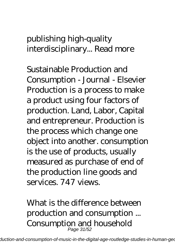#### publishing high-quality interdisciplinary... Read more

*Sustainable Production and Consumption - Journal - Elsevier* Production is a process to make a product using four factors of production. Land, Labor, Capital and entrepreneur. Production is the process which change one object into another. consumption is the use of products, usually measured as purchase of end of the production line goods and services. 747 views.

*What is the difference between production and consumption ...* Consumption and household Page 31/52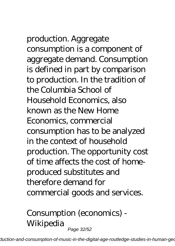# production. Aggregate

consumption is a component of aggregate demand. Consumption is defined in part by comparison to production. In the tradition of the Columbia School of Household Economics, also known as the New Home Economics, commercial consumption has to be analyzed in the context of household production. The opportunity cost of time affects the cost of homeproduced substitutes and therefore demand for commercial goods and services.

*Consumption (economics) - Wikipedia* Page 32/52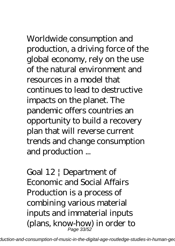# Worldwide consumption and

production, a driving force of the global economy, rely on the use of the natural environment and resources in a model that continues to lead to destructive impacts on the planet. The pandemic offers countries an opportunity to build a recovery plan that will reverse current trends and change consumption and production ...

*Goal 12 | Department of Economic and Social Affairs* Production is a process of combining various material inputs and immaterial inputs (plans, know-how) in order to Page 33/52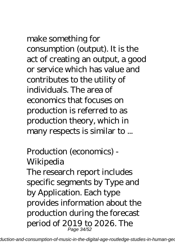make something for consumption (output). It is the act of creating an output, a good or service which has value and contributes to the utility of individuals. The area of economics that focuses on production is referred to as production theory, which in many respects is similar to ...

#### *Production (economics) - Wikipedia*

The research report includes specific segments by Type and by Application. Each type provides information about the production during the forecast period of 2019 to 2026. The Page 34/52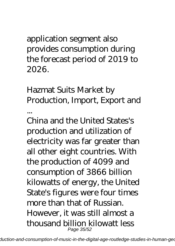application segment also provides consumption during the forecast period of 2019 to 2026.

## *Hazmat Suits Market by Production, Import, Export and*

*...*

China and the United States's production and utilization of electricity was far greater than all other eight countries. With the production of 4099 and consumption of 3866 billion kilowatts of energy, the United State's figures were four times more than that of Russian. However, it was still almost a thousand billion kilowatt less Page 35/52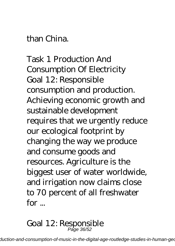#### than China.

*Task 1 Production And Consumption Of Electricity* Goal 12: Responsible consumption and production. Achieving economic growth and sustainable development requires that we urgently reduce our ecological footprint by changing the way we produce and consume goods and resources. Agriculture is the biggest user of water worldwide, and irrigation now claims close to 70 percent of all freshwater  $for...$ 

#### *Goal 12: Responsible* Page 36/52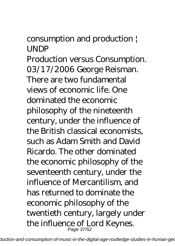#### *consumption and production | UNDP*

Production versus Consumption. 03/17/2006 George Reisman. There are two fundamental views of economic life. One dominated the economic philosophy of the nineteenth century, under the influence of the British classical economists, such as Adam Smith and David Ricardo. The other dominated the economic philosophy of the seventeenth century, under the influence of Mercantilism, and has returned to dominate the economic philosophy of the twentieth century, largely under the influence of Lord Keynes. Page 37/52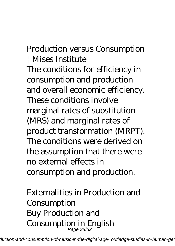#### *Production versus Consumption | Mises Institute*

The conditions for efficiency in consumption and production and overall economic efficiency. These conditions involve marginal rates of substitution (MRS) and marginal rates of product transformation (MRPT). The conditions were derived on the assumption that there were no external effects in consumption and production.

*Externalities in Production and Consumption* Buy Production and Consumption in English Page 38/52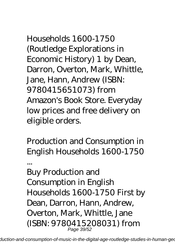Households 1600-1750 (Routledge Explorations in Economic History) 1 by Dean, Darron, Overton, Mark, Whittle, Jane, Hann, Andrew (ISBN: 9780415651073) from Amazon's Book Store. Everyday low prices and free delivery on eligible orders.

*Production and Consumption in English Households 1600-1750*

*...*

Buy Production and Consumption in English Households 1600-1750 First by Dean, Darron, Hann, Andrew, Overton, Mark, Whittle, Jane (ISBN: 9780415208031) from Page 39/52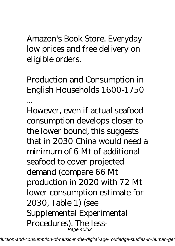Amazon's Book Store. Everyday low prices and free delivery on eligible orders.

*Production and Consumption in English Households 1600-1750 ...*

However, even if actual seafood consumption develops closer to the lower bound, this suggests that in 2030 China would need a minimum of 6 Mt of additional seafood to cover projected demand (compare 66 Mt production in 2020 with 72 Mt lower consumption estimate for 2030, Table 1) (see Supplemental Experimental Procedures). The less-Page 40/52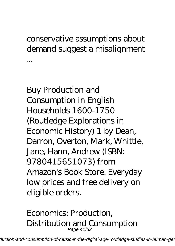#### conservative assumptions about demand suggest a misalignment ...

Buy Production and Consumption in English Households 1600-1750 (Routledge Explorations in Economic History) 1 by Dean, Darron, Overton, Mark, Whittle, Jane, Hann, Andrew (ISBN: 9780415651073) from Amazon's Book Store. Everyday low prices and free delivery on eligible orders.

#### *Economics: Production, Distribution and Consumption* Page 41/52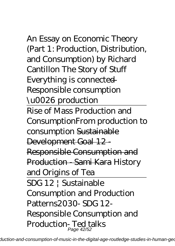*An Essay on Economic Theory (Part 1: Production, Distribution, and Consumption) by Richard Cantillon The Story of Stuff Everything is connected — Responsible consumption \u0026 production* Rise of Mass Production and Consumption*From production to consumption* Sustainable Development Goal 12 - Responsible Consumption and Production - Sami Kara *History and Origins of Tea* SDG 12 | Sustainable Consumption and Production Patterns*2030- SDG 12- Responsible Consumption and Production- Ted talks* Page 42/52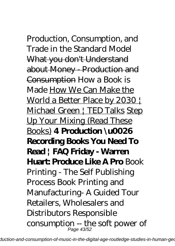*Production, Consumption, and Trade in the Standard Model* What you don't Understand about Money - Production and Consumption How a Book is Made How We Can Make the World a Better Place by 2030 Michael Green | TED Talks Step Up Your Mixing (Read These Books) **4 Production \u0026 Recording Books You Need To Read | FAQ Friday - Warren Huart: Produce Like A Pro** *Book Printing - The Self Publishing Process Book Printing and Manufacturing- A Guided Tour Retailers, Wholesalers and Distributors Responsible consumption -- the soft power of* Page 43/52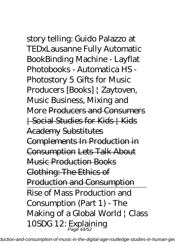*story telling: Guido Palazzo at TEDxLausanne Fully Automatic BookBinding Machine - Layflat Photobooks - Automatica HS - Photostory 5 Gifts for Music Producers [Books] | Zaytoven, Music Business, Mixing and More* Producers and Consumers | Social Studies for Kids | Kids Academy Substitutes Complements In Production in Consumption Lets Talk About Music Production Books Clothing: The Ethics of Production and Consumption Rise of Mass Production and Consumption (Part 1) - The Making of a Global World | Class 10*SDG 12: Explaining* Page 44/52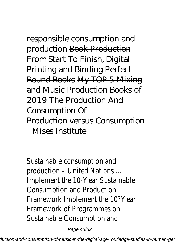*responsible consumption and production* Book Production From Start To Finish, Digital Printing and Binding Perfect Bound Books My TOP 5 Mixing and Music Production Books of 2019 *The Production And Consumption Of Production versus Consumption | Mises Institute*

Sustainable consumption and production – United Nations ... Implement the 10-Year Sustainable Consumption and Production Framework Implement the 10?Year Framework of Programmes on Sustainable Consumption and

Page 45/52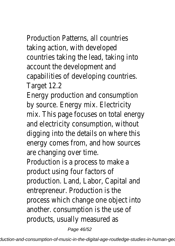Production Patterns, all countries taking action, with developed countries taking the lead, taking into account the development and capabilities of developing countries. Target 12.2

Energy production and consumption by source. Energy mix. Electricity mix. This page focuses on total energy and electricity consumption, without digging into the details on where this energy comes from, and how sources are changing over time. Production is a process to make a product using four factors of production. Land, Labor, Capital and

entrepreneur. Production is the process which change one object into another. consumption is the use of products, usually measured as

Page 46/52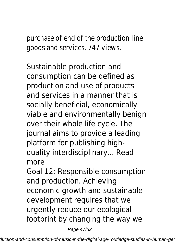purchase of end of the production line goods and services. 747 views.

Sustainable production and consumption can be defined as production and use of products and services in a manner that is socially beneficial, economically viable and environmentally benign over their whole life cycle. The journal aims to provide a leading platform for publishing highquality interdisciplinary... Read more

Goal 12: Responsible consumption and production. Achieving economic growth and sustainable development requires that we urgently reduce our ecological footprint by changing the way we

Page 47/52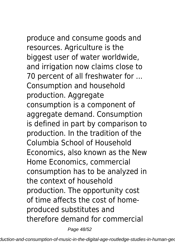produce and consume goods and resources. Agriculture is the biggest user of water worldwide, and irrigation now claims close to 70 percent of all freshwater for ... Consumption and household production. Aggregate consumption is a component of aggregate demand. Consumption is defined in part by comparison to production. In the tradition of the Columbia School of Household Economics, also known as the New Home Economics, commercial consumption has to be analyzed in the context of household production. The opportunity cost of time affects the cost of homeproduced substitutes and therefore demand for commercial

Page 48/52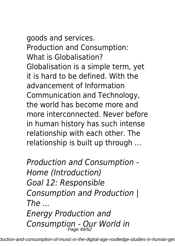goods and services. Production and Consumption: What is Globalisation? Globalisation is a simple term, yet it is hard to be defined. With the advancement of Information Communication and Technology, the world has become more and more interconnected. Never before in human history has such intense relationship with each other. The relationship is built up through ...

*Production and Consumption - Home (Introduction) Goal 12: Responsible Consumption and Production |*  $The$ *Energy Production and Consumption - Our World in* Page 49/52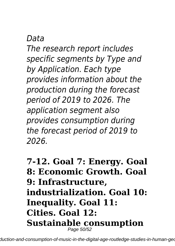#### *Data*

*The research report includes specific segments by Type and by Application. Each type provides information about the production during the forecast period of 2019 to 2026. The application segment also provides consumption during the forecast period of 2019 to 2026.*

**7-12. Goal 7: Energy. Goal 8: Economic Growth. Goal 9: Infrastructure, industrialization. Goal 10: Inequality. Goal 11: Cities. Goal 12: Sustainable consumption** Page 50/52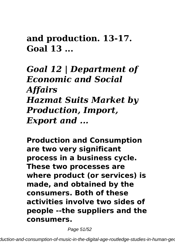**and production. 13-17. Goal 13 ...**

*Goal 12 | Department of Economic and Social Affairs Hazmat Suits Market by Production, Import, Export and ...*

**Production and Consumption are two very significant process in a business cycle. These two processes are where product (or services) is made, and obtained by the consumers. Both of these activities involve two sides of people --the suppliers and the consumers.**

Page 51/52